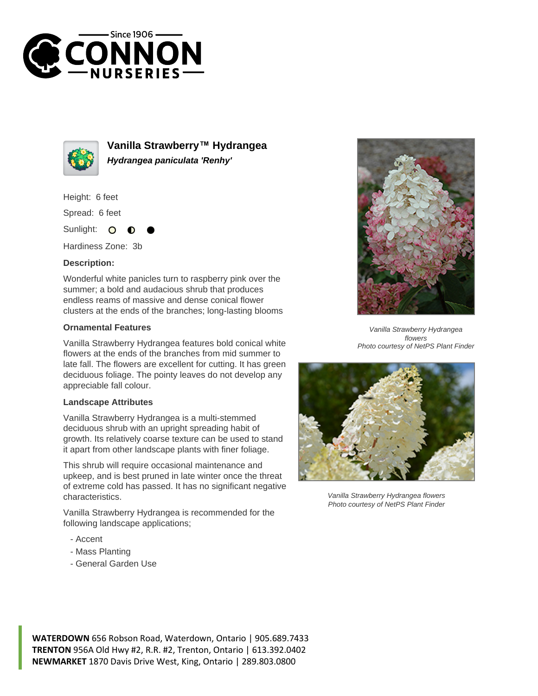



**Vanilla Strawberry™ Hydrangea Hydrangea paniculata 'Renhy'**

Height: 6 feet

Spread: 6 feet

Sunlight:  $\Omega$ 

Hardiness Zone: 3b

## **Description:**

Wonderful white panicles turn to raspberry pink over the summer; a bold and audacious shrub that produces endless reams of massive and dense conical flower clusters at the ends of the branches; long-lasting blooms

## **Ornamental Features**

Vanilla Strawberry Hydrangea features bold conical white flowers at the ends of the branches from mid summer to late fall. The flowers are excellent for cutting. It has green deciduous foliage. The pointy leaves do not develop any appreciable fall colour.

## **Landscape Attributes**

Vanilla Strawberry Hydrangea is a multi-stemmed deciduous shrub with an upright spreading habit of growth. Its relatively coarse texture can be used to stand it apart from other landscape plants with finer foliage.

This shrub will require occasional maintenance and upkeep, and is best pruned in late winter once the threat of extreme cold has passed. It has no significant negative characteristics.

Vanilla Strawberry Hydrangea is recommended for the following landscape applications;

- Accent
- Mass Planting
- General Garden Use



Vanilla Strawberry Hydrangea flowers Photo courtesy of NetPS Plant Finder



Vanilla Strawberry Hydrangea flowers Photo courtesy of NetPS Plant Finder

**WATERDOWN** 656 Robson Road, Waterdown, Ontario | 905.689.7433 **TRENTON** 956A Old Hwy #2, R.R. #2, Trenton, Ontario | 613.392.0402 **NEWMARKET** 1870 Davis Drive West, King, Ontario | 289.803.0800